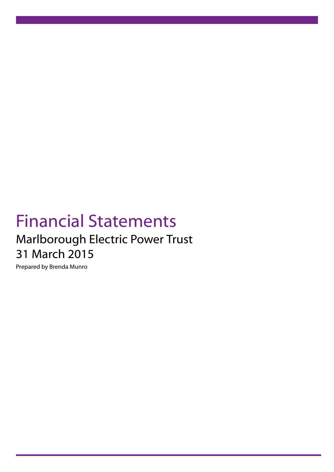# Financial Statements Marlborough Electric Power Trust 31 March 2015

Prepared by Brenda Munro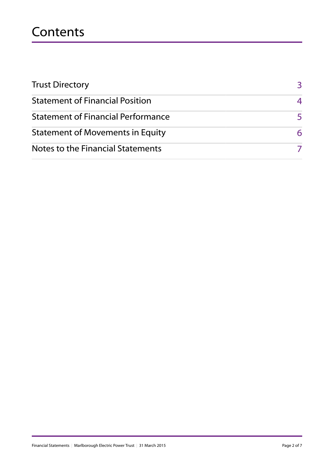## **Contents**

| <b>Trust Directory</b>                    | 3  |
|-------------------------------------------|----|
| <b>Statement of Financial Position</b>    | 4  |
| <b>Statement of Financial Performance</b> | 5. |
| <b>Statement of Movements in Equity</b>   | 6  |
| Notes to the Financial Statements         |    |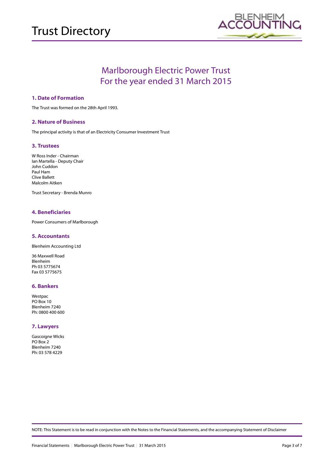

### Marlborough Electric Power Trust For the year ended 31 March 2015

### **1. Date of Formation**

The Trust was formed on the 28th April 1993.

### **2. Nature of Business**

The principal activity is that of an Electricity Consumer Investment Trust

### **3. Trustees**

W Ross Inder - Chairman Ian Martella - Deputy Chair John Cuddon Paul Ham Clive Ballett Malcolm Aitken

Trust Secretary - Brenda Munro

### **4. Beneficiaries**

Power Consumers of Marlborough

#### **5. Accountants**

Blenheim Accounting Ltd

36 Maxwell Road Blenheim Ph 03 5775674 Fax 03 5775675

#### **6. Bankers**

Westpac PO Box 10 Blenheim 7240 Ph: 0800 400 600

### **7. Lawyers**

Gascoigne Wicks PO Box 2 Blenheim 7240 Ph: 03 578 4229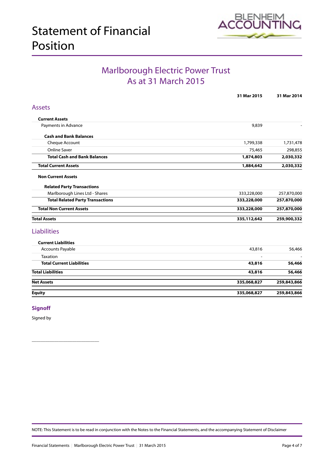

### Marlborough Electric Power Trust As at 31 March 2015

<span id="page-3-0"></span>

|                                         | 31 Mar 2015 | 31 Mar 2014 |
|-----------------------------------------|-------------|-------------|
| <b>Assets</b>                           |             |             |
| <b>Current Assets</b>                   |             |             |
| Payments in Advance                     | 9,839       |             |
| <b>Cash and Bank Balances</b>           |             |             |
| Cheque Account                          | 1,799,338   | 1,731,478   |
| <b>Online Saver</b>                     | 75,465      | 298,855     |
| <b>Total Cash and Bank Balances</b>     | 1,874,803   | 2,030,332   |
| <b>Total Current Assets</b>             | 1,884,642   | 2,030,332   |
| <b>Non Current Assets</b>               |             |             |
| <b>Related Party Transactions</b>       |             |             |
| Marlborough Lines Ltd - Shares          | 333,228,000 | 257,870,000 |
| <b>Total Related Party Transactions</b> | 333,228,000 | 257,870,000 |
| <b>Total Non Current Assets</b>         | 333,228,000 | 257,870,000 |
| <b>Total Assets</b>                     | 335,112,642 | 259,900,332 |
| <b>Liabilities</b>                      |             |             |
| <b>Current Liabilities</b>              |             |             |
| Accounts Payable                        | 43,816      | 56,466      |
| Taxation                                |             |             |
| <b>Total Current Liabilities</b>        | 43,816      | 56,466      |
| <b>Total Liabilities</b>                | 43,816      | 56,466      |
| <b>Net Assets</b>                       | 335,068,827 | 259,843,866 |
| <b>Equity</b>                           | 335,068,827 | 259,843,866 |

### **Signoff**

Signed by

\_\_\_\_\_\_\_\_\_\_\_\_\_\_\_\_\_\_\_\_\_\_\_\_\_\_\_\_\_\_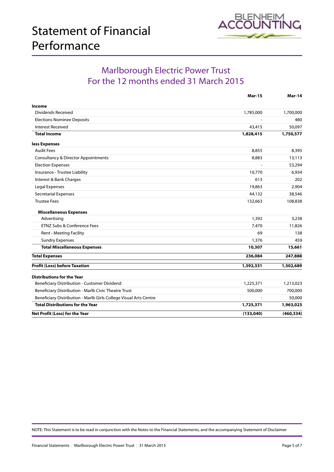

### Marlborough Electric Power Trust For the 12 months ended 31 March 2015

|                                                                   | <b>Mar-15</b> | <b>Mar-14</b> |
|-------------------------------------------------------------------|---------------|---------------|
| Income                                                            |               |               |
| <b>Dividends Received</b>                                         | 1,785,000     | 1,700,000     |
| <b>Elections Nominee Deposits</b>                                 |               | 480           |
| <b>Interest Received</b>                                          | 43,415        | 50,097        |
| <b>Total Income</b>                                               | 1,828,415     | 1,750,577     |
| less Expenses                                                     |               |               |
| <b>Audit Fees</b>                                                 | 8,855         | 8,395         |
| <b>Consultancy &amp; Director Appointments</b>                    | 8,883         | 13,113        |
| <b>Election Expenses</b>                                          |               | 53,294        |
| Insurance - Trustee Liability                                     | 10,770        | 6,934         |
| Interest & Bank Charges                                           | 613           | 202           |
| Legal Expenses                                                    | 19,863        | 2,904         |
| <b>Secretarial Expenses</b>                                       | 44,132        | 38,546        |
| <b>Trustee Fees</b>                                               | 132,663       | 108,838       |
| <b>Miscellaneous Expenses</b>                                     |               |               |
| Advertising                                                       | 1,392         | 3,238         |
| ETNZ Subs & Conference Fees                                       | 7,470         | 11,826        |
| Rent - Meeting Facility                                           | 69            | 138           |
| <b>Sundry Expenses</b>                                            | 1,376         | 459           |
| <b>Total Miscellaneous Expenses</b>                               | 10,307        | 15,661        |
| <b>Total Expenses</b>                                             | 236,084       | 247,888       |
| <b>Profit (Loss) before Taxation</b>                              | 1,592,331     | 1,502,689     |
| <b>Distributions for the Year</b>                                 |               |               |
| Beneficiary Distribution - Customer Dividend                      | 1,225,371     | 1,213,023     |
| Beneficiary Distribution - Marlb Civic Theatre Trust              | 500,000       | 700,000       |
| Beneficiary Distribution - Marlb Girls College Visual Arts Centre |               | 50,000        |
| <b>Total Distributions for the Year</b>                           | 1,725,371     | 1,963,023     |
| Net Profit (Loss) for the Year                                    | (133,040)     | (460, 334)    |
|                                                                   |               |               |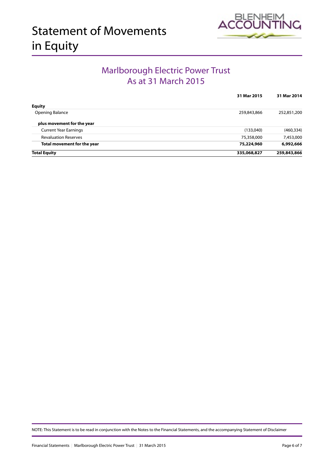<span id="page-5-0"></span>



### Marlborough Electric Power Trust As at 31 March 2015

|                              | 31 Mar 2015 | 31 Mar 2014 |
|------------------------------|-------------|-------------|
| <b>Equity</b>                |             |             |
| Opening Balance              | 259,843,866 | 252,851,200 |
| plus movement for the year   |             |             |
| <b>Current Year Earnings</b> | (133,040)   | (460, 334)  |
| <b>Revaluation Reserves</b>  | 75,358,000  | 7,453,000   |
| Total movement for the year  | 75,224,960  | 6,992,666   |
| <b>Total Equity</b>          | 335,068,827 | 259,843,866 |